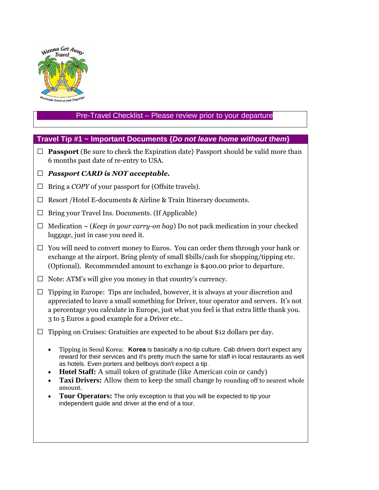

# Pre-Travel Checklist – Please review prior to your departure

# **Travel Tip #1 ~ Important Documents {***Do not leave home without them***}**

 $\Box$  **Passport** (Be sure to check the Expiration date) Passport should be valid more than 6 months past date of re-entry to USA.

### **□** *Passport CARD is NOT acceptable.*

- **□** Bring a *COPY* of your passport for (Offsite travels).
- **□** Resort /Hotel E-documents & Airline & Train Itinerary documents.
- **□** Bring your Travel Ins. Documents. (If Applicable)
- **□** Medication ~ (*Keep in your carry-on bag*) Do not pack medication in your checked luggage, just in case you need it.
- **□** You will need to convert money to Euros. You can order them through your bank or exchange at the airport. Bring plenty of small \$bills/cash for shopping/tipping etc. (Optional). Recommended amount to exchange is \$400.00 prior to departure.
- **□** Note: ATM's will give you money in that country's currency.
- **□** Tipping in Europe: Tips are included, however, it is always at your discretion and appreciated to leave a small something for Driver, tour operator and servers. It's not a percentage you calculate in Europe, just what you feel is that extra little thank you. 3 to 5 Euros a good example for a Driver etc..
- **□** Tipping on Cruises: Gratuities are expected to be about \$12 dollars per day.
	- Tipping in Seoul Korea: **Korea** is basically a no-tip culture. Cab drivers don't expect any reward for their services and it's pretty much the same for staff in local restaurants as well as hotels. Even porters and bellboys don't expect a tip.
	- **Hotel Staff:** A small token of gratitude (like American coin or candy)
	- **Taxi Drivers:** Allow them to keep the small change by rounding off to nearest whole amount.
	- Tour Operators: The only exception is that you will be expected to tip your independent guide and driver at the end of a tour.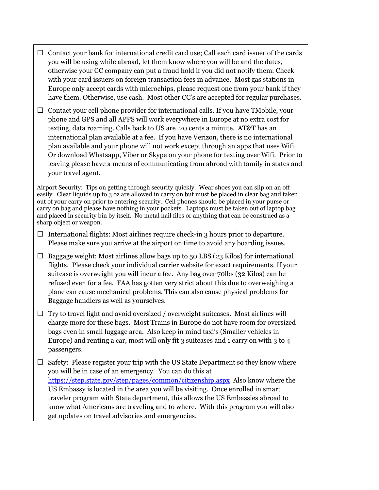- **□** Contact your bank for international credit card use; Call each card issuer of the cards you will be using while abroad, let them know where you will be and the dates, otherwise your CC company can put a fraud hold if you did not notify them. Check with your card issuers on foreign transaction fees in advance. Most gas stations in Europe only accept cards with microchips, please request one from your bank if they have them. Otherwise, use cash. Most other CC's are accepted for regular purchases.
- □ Contact your cell phone provider for international calls. If you have TMobile, your phone and GPS and all APPS will work everywhere in Europe at no extra cost for texting, data roaming. Calls back to US are .20 cents a minute. AT&T has an international plan available at a fee. If you have Verizon, there is no international plan available and your phone will not work except through an apps that uses Wifi. Or download Whatsapp, Viber or Skype on your phone for texting over Wifi. Prior to leaving please have a means of communicating from abroad with family in states and your travel agent.

Airport Security: Tips on getting through security quickly. Wear shoes you can slip on an off easily. Clear liquids up to 3 oz are allowed in carry on but must be placed in clear bag and taken out of your carry on prior to entering security. Cell phones should be placed in your purse or carry on bag and please have nothing in your pockets. Laptops must be taken out of laptop bag and placed in security bin by itself. No metal nail files or anything that can be construed as a sharp object or weapon.

- **□** International flights: Most airlines require check-in 3 hours prior to departure. Please make sure you arrive at the airport on time to avoid any boarding issues.
- $\Box$  Baggage weight: Most airlines allow bags up to 50 LBS (23 Kilos) for international flights. Please check your individual carrier website for exact requirements. If your suitcase is overweight you will incur a fee. Any bag over 70lbs (32 Kilos) can be refused even for a fee. FAA has gotten very strict about this due to overweighing a plane can cause mechanical problems. This can also cause physical problems for Baggage handlers as well as yourselves.
- **□** Try to travel light and avoid oversized / overweight suitcases. Most airlines will charge more for these bags. Most Trains in Europe do not have room for oversized bags even in small luggage area. Also keep in mind taxi's (Smaller vehicles in Europe) and renting a car, most will only fit 3 suitcases and 1 carry on with 3 to 4 passengers.
- □ Safety: Please register your trip with the US State Department so they know where you will be in case of an emergency. You can do this at <https://step.state.gov/step/pages/common/citizenship.aspx>Also know where the US Embassy is located in the area you will be visiting. Once enrolled in smart traveler program with State department, this allows the US Embassies abroad to know what Americans are traveling and to where. With this program you will also get updates on travel advisories and emergencies.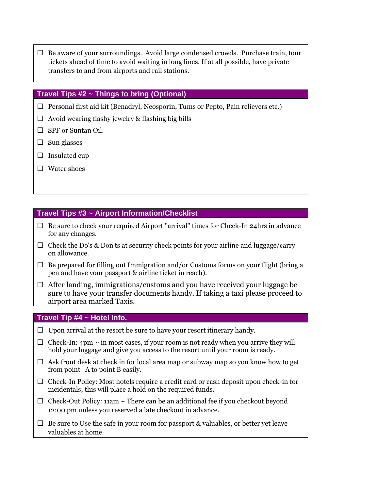**□** Be aware of your surroundings. Avoid large condensed crowds. Purchase train, tour tickets ahead of time to avoid waiting in long lines. If at all possible, have private transfers to and from airports and rail stations.

### **Travel Tips #2 ~ Things to bring (Optional)**

- **□** Personal first aid kit (Benadryl, Neosporin, Tums or Pepto, Pain relievers etc.)
- **□** Avoid wearing flashy jewelry & flashing big bills
- **□** SPF or Suntan Oil.
- **□** Sun glasses
- **□** Insulated cup
- □ Water shoes

## **Travel Tips #3 ~ Airport Information/Checklist**

- **□** Be sure to check your required Airport "arrival" times for Check-In 24hrs in advance for any changes.
- $\Box$  Check the Do's & Don'ts at security check points for your airline and luggage/carry on allowance.
- **□** Be prepared for filling out Immigration and/or Customs forms on your flight (bring a pen and have your passport & airline ticket in reach).
- **□** After landing, immigrations/customs and you have received your luggage be sure to have your transfer documents handy. If taking a taxi please proceed to airport area marked Taxis.

### **Travel Tip #4 ~ Hotel Info.**

- **□** Upon arrival at the resort be sure to have your resort itinerary handy.
- $\Box$  Check-In: 4pm  $\sim$  in most cases, if your room is not ready when you arrive they will hold your luggage and give you access to the resort until your room is ready.
- **□** Ask front desk at check in for local area map or subway map so you know how to get from point A to point B easily.
- **□** Check-In Policy: Most hotels require a credit card or cash deposit upon check-in for incidentals; this will place a hold on the required funds.
- **□** Check-Out Policy: 11am ~ There can be an additional fee if you checkout beyond 12:00 pm unless you reserved a late checkout in advance.
- $\Box$  Be sure to Use the safe in your room for passport & valuables, or better yet leave valuables at home.